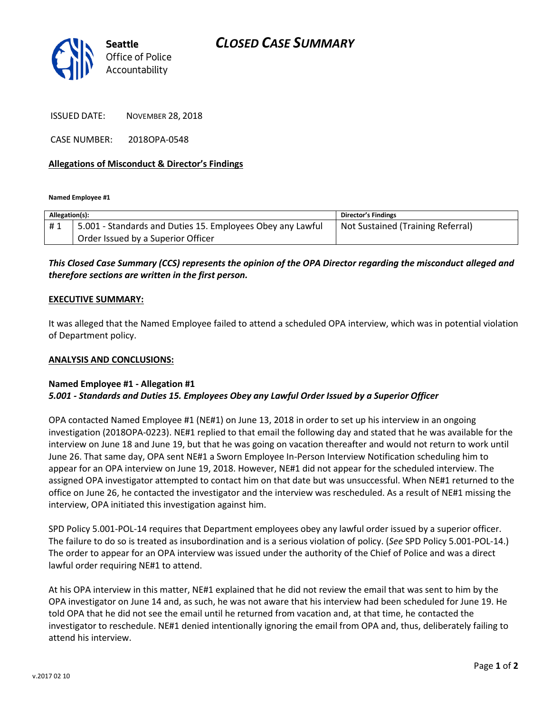

ISSUED DATE: NOVEMBER 28, 2018

CASE NUMBER: 2018OPA-0548

#### **Allegations of Misconduct & Director's Findings**

**Named Employee #1**

| Allegation(s): |                                                            | Director's Findings               |
|----------------|------------------------------------------------------------|-----------------------------------|
| #1             | 5.001 - Standards and Duties 15. Employees Obey any Lawful | Not Sustained (Training Referral) |
|                | Order Issued by a Superior Officer                         |                                   |

## *This Closed Case Summary (CCS) represents the opinion of the OPA Director regarding the misconduct alleged and therefore sections are written in the first person.*

#### **EXECUTIVE SUMMARY:**

It was alleged that the Named Employee failed to attend a scheduled OPA interview, which was in potential violation of Department policy.

#### **ANALYSIS AND CONCLUSIONS:**

### **Named Employee #1 - Allegation #1** *5.001 - Standards and Duties 15. Employees Obey any Lawful Order Issued by a Superior Officer*

OPA contacted Named Employee #1 (NE#1) on June 13, 2018 in order to set up his interview in an ongoing investigation (2018OPA-0223). NE#1 replied to that email the following day and stated that he was available for the interview on June 18 and June 19, but that he was going on vacation thereafter and would not return to work until June 26. That same day, OPA sent NE#1 a Sworn Employee In-Person Interview Notification scheduling him to appear for an OPA interview on June 19, 2018. However, NE#1 did not appear for the scheduled interview. The assigned OPA investigator attempted to contact him on that date but was unsuccessful. When NE#1 returned to the office on June 26, he contacted the investigator and the interview was rescheduled. As a result of NE#1 missing the interview, OPA initiated this investigation against him.

SPD Policy 5.001-POL-14 requires that Department employees obey any lawful order issued by a superior officer. The failure to do so is treated as insubordination and is a serious violation of policy. (*See* SPD Policy 5.001-POL-14.) The order to appear for an OPA interview was issued under the authority of the Chief of Police and was a direct lawful order requiring NE#1 to attend.

At his OPA interview in this matter, NE#1 explained that he did not review the email that was sent to him by the OPA investigator on June 14 and, as such, he was not aware that his interview had been scheduled for June 19. He told OPA that he did not see the email until he returned from vacation and, at that time, he contacted the investigator to reschedule. NE#1 denied intentionally ignoring the email from OPA and, thus, deliberately failing to attend his interview.